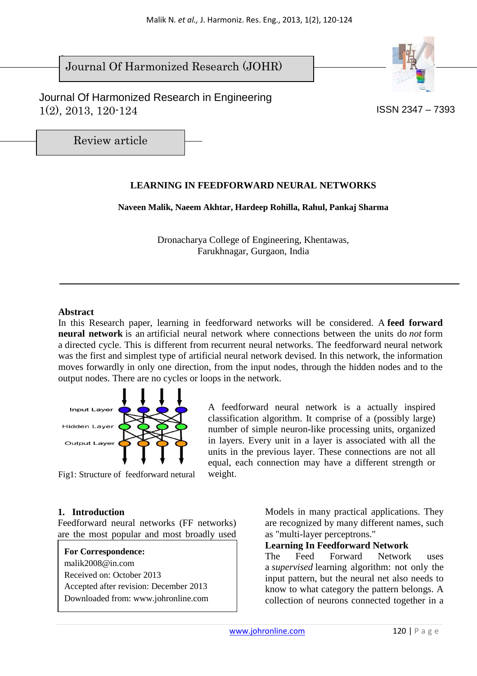$\overline{\phantom{a}}$ Journal Of Harmonized Research (JOHR)

 Journal Of Harmonized Research in Engineering  $1(2)$ ,  $2013$ ,  $120-124$  ISSN 2347 – 7393



Review article

# **LEARNING IN FEEDFORWARD NEURAL NETWORKS**

**Naveen Malik, Naeem Akhtar, Hardeep Rohilla, Rahul, Pankaj Sharma** 

Dronacharya College of Engineering, Khentawas, Farukhnagar, Gurgaon, India

#### **Abstract**

In this Research paper, learning in feedforward networks will be considered. A **feed forward neural network** is an artificial neural network where connections between the units do *not* form a directed cycle. This is different from recurrent neural networks. The feedforward neural network was the first and simplest type of artificial neural network devised. In this network, the information moves forwardly in only one direction, from the input nodes, through the hidden nodes and to the output nodes. There are no cycles or loops in the network.



A feedforward neural network is a actually inspired classification algorithm. It comprise of a (possibly large) number of simple neuron-like processing units, organized in layers. Every unit in a layer is associated with all the units in the previous layer. These connections are not all equal, each connection may have a different strength or weight.

Fig1: Structure of feedforward netural

## **1. Introduction**

Feedforward neural networks (FF networks) are the most popular and most broadly used

**For Correspondence:**  malik2008@in.com Received on: October 2013 Accepted after revision: December 2013 Downloaded from: www.johronline.com Models in many practical applications. They are recognized by many different names, such as "multi-layer perceptrons."

#### **Learning In Feedforward Network**

The Feed Forward Network uses a *supervised* learning algorithm: not only the input pattern, but the neural net also needs to know to what category the pattern belongs. A collection of neurons connected together in a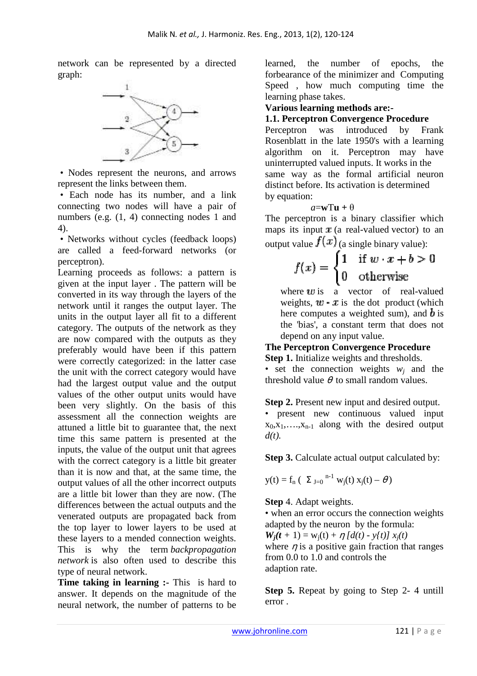network can be represented by a directed graph:



 • Nodes represent the neurons, and arrows represent the links between them.

 • Each node has its number, and a link connecting two nodes will have a pair of numbers (e.g.  $(1, 4)$  connecting nodes 1 and 4).

 • Networks without cycles (feedback loops) are called a feed-forward networks (or perceptron).

Learning proceeds as follows: a pattern is given at the input layer . The pattern will be converted in its way through the layers of the network until it ranges the output layer. The units in the output layer all fit to a different category. The outputs of the network as they are now compared with the outputs as they preferably would have been if this pattern were correctly categorized: in the latter case the unit with the correct category would have had the largest output value and the output values of the other output units would have been very slightly. On the basis of this assessment all the connection weights are attuned a little bit to guarantee that, the next time this same pattern is presented at the inputs, the value of the output unit that agrees with the correct category is a little bit greater than it is now and that, at the same time, the output values of all the other incorrect outputs are a little bit lower than they are now. (The differences between the actual outputs and the venerated outputs are propagated back from the top layer to lower layers to be used at these layers to a mended connection weights. This is why the term *backpropagation network* is also often used to describe this type of neural network.

**Time taking in learning :-** This is hard to answer. It depends on the magnitude of the neural network, the number of patterns to be learned, the number of epochs, the forbearance of the minimizer and Computing Speed , how much computing time the learning phase takes.

## **Various learning methods are:-**

## **1.1. Perceptron Convergence Procedure**

Perceptron was introduced by Frank Rosenblatt in the late 1950's with a learning algorithm on it. Perceptron may have uninterrupted valued inputs. It works in the same way as the formal artificial neuron distinct before. Its activation is determined by equation:

#### $a = wTu + \theta$

The perceptron is a binary classifier which maps its input  $x$  (a real-valued vector) to an output value  $f(x)$  (a single binary value):

$$
f(x) = \begin{cases} 1 & \text{if } w \cdot x + b > 0 \\ 0 & \text{otherwise} \end{cases}
$$

where  $\boldsymbol{u}$  is a vector of real-valued weights,  $w \cdot x$  is the dot product (which here computes a weighted sum), and  $\boldsymbol{b}$  is the 'bias', a constant term that does not depend on any input value.

#### **The Perceptron Convergence Procedure Step 1.** Initialize weights and thresholds.

• set the connection weights  $w_j$  and the threshold value  $\theta$  to small random values.

#### **Step 2.** Present new input and desired output.

• present new continuous valued input  $x_0, x_1, \ldots, x_{n-1}$  along with the desired output *d(t).* 

**Step 3.** Calculate actual output calculated by:

$$
y(t) = f_n
$$
 ( $\Sigma_{J=0}$ <sup>n-1</sup> w<sub>j</sub>(t) x<sub>j</sub>(t) -  $\theta$ )

## **Step** 4. Adapt weights.

• when an error occurs the connection weights adapted by the neuron by the formula:

 $W_i(t + 1) = w_i(t) + \eta \left[ d(t) - v_i(t) \right] x_i(t)$ 

where  $\eta$  is a positive gain fraction that ranges from 0.0 to 1.0 and controls the adaption rate.

**Step 5.** Repeat by going to Step 2- 4 untill error .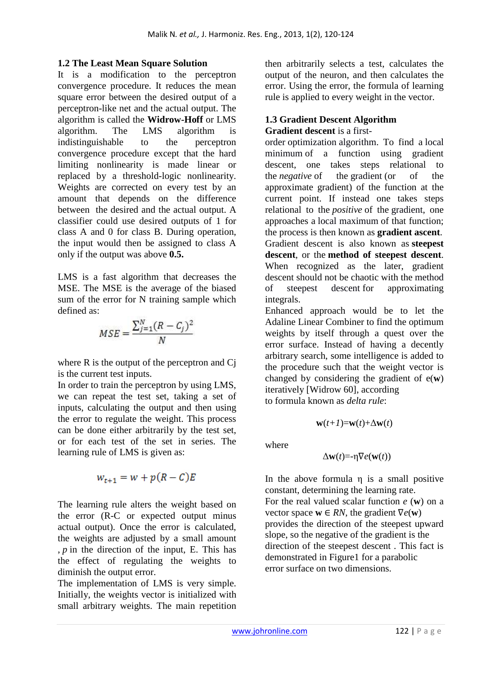## **1.2 The Least Mean Square Solution**

It is a modification to the perceptron convergence procedure. It reduces the mean square error between the desired output of a perceptron-like net and the actual output. The algorithm is called the **Widrow-Hoff** or LMS algorithm. The LMS algorithm is indistinguishable to the perceptron convergence procedure except that the hard limiting nonlinearity is made linear or replaced by a threshold-logic nonlinearity. Weights are corrected on every test by an amount that depends on the difference between the desired and the actual output. A classifier could use desired outputs of 1 for class A and 0 for class B. During operation, the input would then be assigned to class A only if the output was above **0.5.** 

LMS is a fast algorithm that decreases the MSE. The MSE is the average of the biased sum of the error for N training sample which defined as:

$$
MSE = \frac{\sum_{j=1}^{N} (R - C_j)^2}{N}
$$

where R is the output of the perceptron and Cj is the current test inputs.

In order to train the perceptron by using LMS, we can repeat the test set, taking a set of inputs, calculating the output and then using the error to regulate the weight. This process can be done either arbitrarily by the test set, or for each test of the set in series. The learning rule of LMS is given as:

$$
w_{t+1} = w + p(R - C)E
$$

The learning rule alters the weight based on the error (R-C or expected output minus actual output). Once the error is calculated, the weights are adjusted by a small amount , *p* in the direction of the input, E. This has the effect of regulating the weights to diminish the output error.

The implementation of LMS is very simple. Initially, the weights vector is initialized with small arbitrary weights. The main repetition

then arbitrarily selects a test, calculates the output of the neuron, and then calculates the error. Using the error, the formula of learning rule is applied to every weight in the vector.

#### **1.3 Gradient Descent Algorithm Gradient descent** is a first-

order optimization algorithm. To find a local minimum of a function using gradient descent, one takes steps relational to the *negative* of the gradient (or of the approximate gradient) of the function at the current point. If instead one takes steps relational to the *positive* of the gradient, one approaches a local maximum of that function; the process is then known as **gradient ascent**. Gradient descent is also known as **steepest descent**, or the **method of steepest descent**. When recognized as the later, gradient descent should not be chaotic with the method of steepest descent for approximating integrals.

Enhanced approach would be to let the Adaline Linear Combiner to find the optimum weights by itself through a quest over the error surface. Instead of having a decently arbitrary search, some intelligence is added to the procedure such that the weight vector is changed by considering the gradient of e(**w**) iteratively [Widrow 60], according to formula known as *delta rule*:

$$
\mathbf{w}(t+1) = \mathbf{w}(t) + \Delta \mathbf{w}(t)
$$

where

$$
\Delta \mathbf{w}(t) = -\eta \nabla e(\mathbf{w}(t))
$$

In the above formula η is a small positive constant, determining the learning rate. For the real valued scalar function *e* (**w**) on a vector space  $\mathbf{w} \in RN$ , the gradient  $\nabla e(\mathbf{w})$ provides the direction of the steepest upward slope, so the negative of the gradient is the direction of the steepest descent . This fact is demonstrated in Figure1 for a parabolic error surface on two dimensions.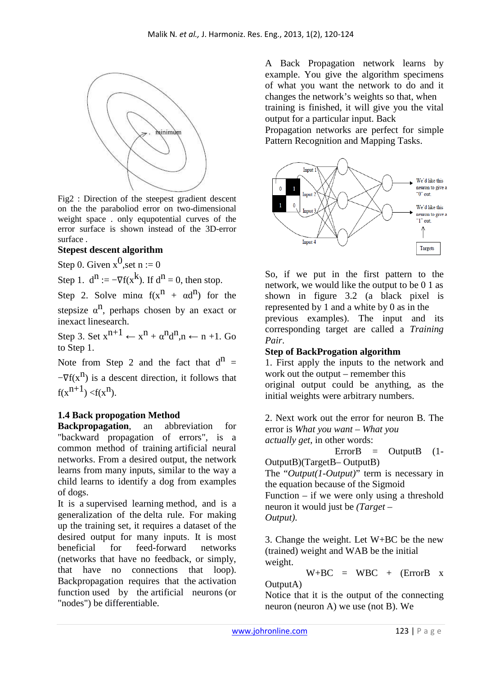

Fig2 : Direction of the steepest gradient descent on the the paraboliod error on two-dimensional weight space . only equpotential curves of the error surface is shown instead of the 3D-error surface .

# **Stepest descent algorithm**

Step 0. Given  $x^0$ , set n := 0

Step 1.  $d^n := -\nabla f(x^k)$ . If  $d^n = 0$ , then stop.

Step 2. Solve mina  $f(x^n + \alpha d^n)$  for the

stepsize  $\alpha^n$ , perhaps chosen by an exact or inexact linesearch.

Step 3. Set  $x^{n+1} \leftarrow x^n + \alpha^n d^n, n \leftarrow n + 1$ . Go to Step 1.

Note from Step 2 and the fact that  $d^n =$ 

 $-\nabla f(x^n)$  is a descent direction, it follows that  $f(x^{n+1}) < f(x^n)$ .

# **1.4 Back propogation Method**

**Backpropagation**, an abbreviation for "backward propagation of errors", is a common method of training artificial neural networks. From a desired output, the network learns from many inputs, similar to the way a child learns to identify a dog from examples of dogs.

It is a supervised learning method, and is a generalization of the delta rule. For making up the training set, it requires a dataset of the desired output for many inputs. It is most beneficial for feed-forward networks (networks that have no feedback, or simply, that have no connections that loop). Backpropagation requires that the activation function used by the artificial neurons (or "nodes") be differentiable.

A Back Propagation network learns by example. You give the algorithm specimens of what you want the network to do and it changes the network's weights so that, when training is finished, it will give you the vital output for a particular input. Back

Propagation networks are perfect for simple Pattern Recognition and Mapping Tasks.



So, if we put in the first pattern to the network, we would like the output to be 0 1 as shown in figure 3.2 (a black pixel is represented by 1 and a white by 0 as in the previous examples). The input and its corresponding target are called a *Training Pair*.

# **Step of BackProgation algorithm**

1. First apply the inputs to the network and work out the output – remember this original output could be anything, as the initial weights were arbitrary numbers.

2. Next work out the error for neuron B. The error is *What you want – What you actually get*, in other words:

 $ErrorB = OutputB (1-$ OutputB)(TargetB– OutputB) The "*Output(1-Output)*" term is necessary in the equation because of the Sigmoid Function – if we were only using a threshold neuron it would just be *(Target – Output)*.

3. Change the weight. Let W+BC be the new (trained) weight and WAB be the initial weight.

 $W+BC = WBC + (ErrorB x)$ OutputA)

Notice that it is the output of the connecting neuron (neuron A) we use (not B). We